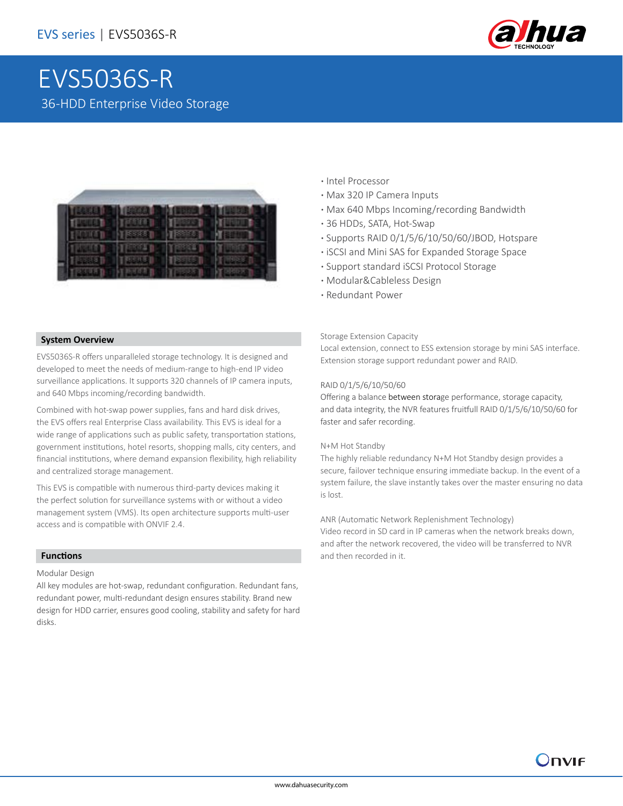

# EVS5036S-R 36-HDD Enterprise Video Storage



- **·** Intel Processor
- **·** Max 320 IP Camera Inputs
- **·** Max 640 Mbps Incoming/recording Bandwidth
- **·** 36 HDDs, SATA, Hot-Swap
- **·** Supports RAID 0/1/5/6/10/50/60/JBOD, Hotspare
- **·** iSCSI and Mini SAS for Expanded Storage Space
- **·** Support standard iSCSI Protocol Storage
- **·** Modular&Cableless Design
- **·** Redundant Power

### **System Overview**

EVS5036S-R offers unparalleled storage technology. It is designed and developed to meet the needs of medium-range to high-end IP video surveillance applications. It supports 320 channels of IP camera inputs, and 640 Mbps incoming/recording bandwidth.

Combined with hot-swap power supplies, fans and hard disk drives, the EVS offers real Enterprise Class availability. This EVS is ideal for a wide range of applications such as public safety, transportation stations, government institutions, hotel resorts, shopping malls, city centers, and financial institutions, where demand expansion flexibility, high reliability and centralized storage management.

This EVS is compatible with numerous third-party devices making it the perfect solution for surveillance systems with or without a video management system (VMS). Its open architecture supports multi-user access and is compatible with ONVIF 2.4.

### **Functions**

Modular Design

All key modules are hot-swap, redundant configuration. Redundant fans, redundant power, multi-redundant design ensures stability. Brand new design for HDD carrier, ensures good cooling, stability and safety for hard disks.

#### Storage Extension Capacity

Local extension, connect to ESS extension storage by mini SAS interface. Extension storage support redundant power and RAID.

### RAID 0/1/5/6/10/50/60

Offering a balance between storage performance, storage capacity, and data integrity, the NVR features fruitfull RAID 0/1/5/6/10/50/60 for faster and safer recording.

#### N+M Hot Standby

The highly reliable redundancy N+M Hot Standby design provides a secure, failover technique ensuring immediate backup. In the event of a system failure, the slave instantly takes over the master ensuring no data is lost.

ANR (Automatic Network Replenishment Technology)

Video record in SD card in IP cameras when the network breaks down, and after the network recovered, the video will be transferred to NVR and then recorded in it.

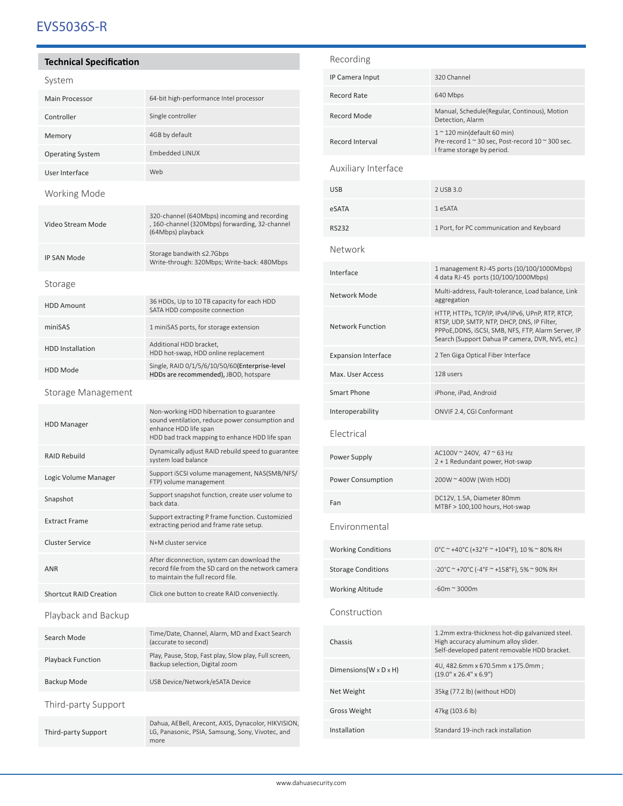# EVS5036S-R

## **Technical Specification**

| system                        |                                                                                                                                                                        |
|-------------------------------|------------------------------------------------------------------------------------------------------------------------------------------------------------------------|
| <b>Main Processor</b>         | 64-bit high-performance Intel processor                                                                                                                                |
| Controller                    | Single controller                                                                                                                                                      |
| Memory                        | 4GB by default                                                                                                                                                         |
| <b>Operating System</b>       | Embedded LINUX                                                                                                                                                         |
| User Interface                | Web                                                                                                                                                                    |
| Working Mode                  |                                                                                                                                                                        |
| Video Stream Mode             | 320-channel (640Mbps) incoming and recording<br>, 160-channel (320Mbps) forwarding, 32-channel<br>(64Mbps) playback                                                    |
| <b>IP SAN Mode</b>            | Storage bandwith ≤2.7Gbps<br>Write-through: 320Mbps; Write-back: 480Mbps                                                                                               |
| Storage                       |                                                                                                                                                                        |
| <b>HDD Amount</b>             | 36 HDDs, Up to 10 TB capacity for each HDD<br>SATA HDD composite connection                                                                                            |
| miniSAS                       | 1 miniSAS ports, for storage extension                                                                                                                                 |
| <b>HDD</b> Installation       | Additional HDD bracket,<br>HDD hot-swap, HDD online replacement                                                                                                        |
| <b>HDD Mode</b>               | Single, RAID 0/1/5/6/10/50/60(Enterprise-level<br>HDDs are recommended), JBOD, hotspare                                                                                |
| Storage Management            |                                                                                                                                                                        |
| <b>HDD Manager</b>            | Non-working HDD hibernation to guarantee<br>sound ventilation, reduce power consumption and<br>enhance HDD life span<br>HDD bad track mapping to enhance HDD life span |
| <b>RAID Rebuild</b>           | Dynamically adjust RAID rebuild speed to guarantee<br>system load balance                                                                                              |
| Logic Volume Manager          | Support iSCSI volume management, NAS(SMB/NFS/<br>FTP) volume management                                                                                                |
| Snapshot                      | Support snapshot function, create user volume to<br>hack data                                                                                                          |
| <b>Extract Frame</b>          | Support extracting P frame function. Customizied<br>extracting period and frame rate setup.                                                                            |
| <b>Cluster Service</b>        | N+M cluster service                                                                                                                                                    |
| <b>ANR</b>                    | After diconnection, system can download the<br>record file from the SD card on the network camera<br>to maintain the full record file                                  |
| <b>Shortcut RAID Creation</b> | Click one button to create RAID conveniectly.                                                                                                                          |
| Playback and Backup           |                                                                                                                                                                        |
| Search Mode                   | Time/Date, Channel, Alarm, MD and Exact Search<br>(accurate to second)                                                                                                 |
| <b>Playback Function</b>      | Play, Pause, Stop, Fast play, Slow play, Full screen,<br>Backup selection, Digital zoom                                                                                |
| Backup Mode                   | USB Device/Network/eSATA Device                                                                                                                                        |
| Third-party Support           |                                                                                                                                                                        |
| Third-party Support           | Dahua, AEBell, Arecont, AXIS, Dynacolor, HIKVISION,<br>LG, Panasonic, PSIA, Samsung, Sony, Vivotec, and<br>more                                                        |
|                               |                                                                                                                                                                        |

| Recording                  |                                                                                                                                                                                                           |
|----------------------------|-----------------------------------------------------------------------------------------------------------------------------------------------------------------------------------------------------------|
| IP Camera Input            | 320 Channel                                                                                                                                                                                               |
| Record Rate                | 640 Mbps                                                                                                                                                                                                  |
| <b>Record Mode</b>         | Manual, Schedule(Regular, Continous), Motion<br>Detection, Alarm                                                                                                                                          |
| <b>Record Interval</b>     | $12$ 120 min(default 60 min)<br>Pre-record 1 ~ 30 sec, Post-record 10 ~ 300 sec.<br>I frame storage by period.                                                                                            |
| Auxiliary Interface        |                                                                                                                                                                                                           |
| USB                        | 2 USB 3.0                                                                                                                                                                                                 |
| eSATA                      | 1 eSATA                                                                                                                                                                                                   |
| RS232                      | 1 Port, for PC communication and Keyboard                                                                                                                                                                 |
| Network                    |                                                                                                                                                                                                           |
| Interface                  | 1 management RJ-45 ports (10/100/1000Mbps)<br>4 data RJ-45 ports (10/100/1000Mbps)                                                                                                                        |
| Network Mode               | Multi-address, Fault-tolerance, Load balance, Link<br>aggregation                                                                                                                                         |
| <b>Network Function</b>    | HTTP, HTTPs, TCP/IP, IPv4/IPv6, UPnP, RTP, RTCP,<br>RTSP, UDP, SMTP, NTP, DHCP, DNS, IP Filter,<br>PPPoE,DDNS, iSCSI, SMB, NFS, FTP, Alarm Server, IP<br>Search (Support Dahua IP camera, DVR, NVS, etc.) |
| <b>Expansion Interface</b> | 2 Ten Giga Optical Fiber Interface                                                                                                                                                                        |
| Max. User Access           | 128 users                                                                                                                                                                                                 |
| Smart Phone                | iPhone, iPad, Android                                                                                                                                                                                     |
| Interoperability           | ONVIF 2.4, CGI Conformant                                                                                                                                                                                 |
| Electrical                 |                                                                                                                                                                                                           |
| Power Supply               | AC100V ~ 240V, 47 ~ 63 Hz<br>2 + 1 Redundant power, Hot-swap                                                                                                                                              |
| <b>Power Consumption</b>   | $200W \approx 400W$ (With HDD)                                                                                                                                                                            |
| Fan                        | DC12V, 1.5A, Diameter 80mm<br>MTBF > 100,100 hours, Hot-swap                                                                                                                                              |
| Environmental              |                                                                                                                                                                                                           |
| <b>Working Conditions</b>  | 0°C ~ +40°C (+32°F ~ +104°F), 10 % ~ 80% RH                                                                                                                                                               |
| <b>Storage Conditions</b>  | -20°C ~ +70°C (-4°F ~ +158°F), 5% ~ 90% RH                                                                                                                                                                |
| Working Altitude           | $-60m \approx 3000m$                                                                                                                                                                                      |
| Construction               |                                                                                                                                                                                                           |
| Chassis                    | 1.2mm extra-thickness hot-dip galvanized steel.<br>High accuracy aluminum alloy slider.<br>Self-developed patent removable HDD bracket.                                                                   |
| Dimensions(W x D x H)      | 4U, 482.6mm x 670.5mm x 175.0mm ;<br>$(19.0" \times 26.4" \times 6.9")$                                                                                                                                   |
| Net Weight                 | 35kg (77.2 lb) (without HDD)                                                                                                                                                                              |
| Gross Weight               | 47kg (103.6 lb)                                                                                                                                                                                           |
| Installation               | Standard 19-inch rack installation                                                                                                                                                                        |